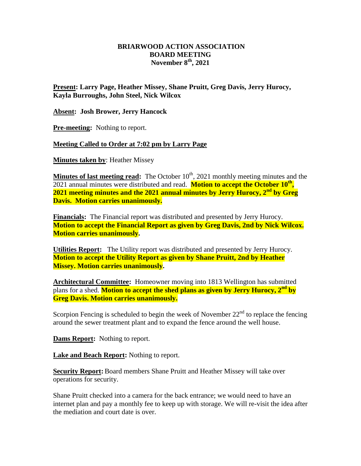## **BRIARWOOD ACTION ASSOCIATION BOARD MEETING November 8 th, 2021**

**Present: Larry Page, Heather Missey, Shane Pruitt, Greg Davis, Jerry Hurocy, Kayla Burroughs, John Steel, Nick Wilcox**

**Absent: Josh Brower, Jerry Hancock**

**Pre-meeting:** Nothing to report.

## **Meeting Called to Order at 7:02 pm by Larry Page**

**Minutes taken by**: Heather Missey

**Minutes of last meeting read:** The October 10<sup>th</sup>, 2021 monthly meeting minutes and the 2021 annual minutes were distributed and read. **Motion to accept the October 10<sup>th</sup>**, **2021 meeting minutes and the 2021 annual minutes by Jerry Hurocy, 2nd by Greg Davis. Motion carries unanimously.**

**Financials:** The Financial report was distributed and presented by Jerry Hurocy. **Motion to accept the Financial Report as given by Greg Davis, 2nd by Nick Wilcox. Motion carries unanimously.** 

**Utilities Report:** The Utility report was distributed and presented by Jerry Hurocy. **Motion to accept the Utility Report as given by Shane Pruitt, 2nd by Heather Missey. Motion carries unanimously.** 

**Architectural Committee:** Homeowner moving into 1813 Wellington has submitted plans for a shed. **Motion to accept the shed plans as given by Jerry Hurocy, 2nd by Greg Davis. Motion carries unanimously.**

Scorpion Fencing is scheduled to begin the week of November  $22<sup>nd</sup>$  to replace the fencing around the sewer treatment plant and to expand the fence around the well house.

**Dams Report:** Nothing to report.

**Lake and Beach Report:** Nothing to report.

**Security Report:** Board members Shane Pruitt and Heather Missey will take over operations for security.

Shane Pruitt checked into a camera for the back entrance; we would need to have an internet plan and pay a monthly fee to keep up with storage. We will re-visit the idea after the mediation and court date is over.